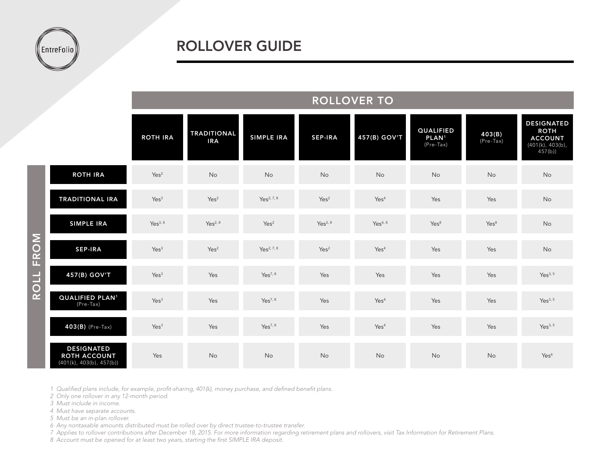

|                     |                                                                      | NULLUVEN IU         |                                  |                        |                     |                     |                                                    |                       |                                                                                  |
|---------------------|----------------------------------------------------------------------|---------------------|----------------------------------|------------------------|---------------------|---------------------|----------------------------------------------------|-----------------------|----------------------------------------------------------------------------------|
|                     |                                                                      | <b>ROTH IRA</b>     | <b>TRADITIONAL</b><br><b>IRA</b> | <b>SIMPLE IRA</b>      | <b>SEP-IRA</b>      | 457(B) GOV'T        | <b>QUALIFIED</b><br>PLAN <sup>1</sup><br>(Pre-Tax) | 403(B)<br>$(Pre-Tax)$ | <b>DESIGNATED</b><br><b>ROTH</b><br><b>ACCOUNT</b><br>(401(k), 403(b),<br>457(b) |
| FROM<br><b>ROLL</b> | <b>ROTH IRA</b>                                                      | Yes <sup>2</sup>    | <b>No</b>                        | No                     | No                  | No                  | No                                                 | No                    | No                                                                               |
|                     | <b>TRADITIONAL IRA</b>                                               | Yes <sup>3</sup>    | Yes <sup>2</sup>                 | Yes <sup>2, 7, 8</sup> | Yes <sup>2</sup>    | Yes <sup>4</sup>    | Yes                                                | Yes                   | No                                                                               |
|                     | <b>SIMPLE IRA</b>                                                    | Yes <sup>3, 8</sup> | Yes <sup>2, 8</sup>              | Yes <sup>2</sup>       | Yes <sup>2, 8</sup> | Yes <sup>4, 8</sup> | Yes <sup>8</sup>                                   | Yes <sup>8</sup>      | No                                                                               |
|                     | <b>SEP-IRA</b>                                                       | Yes <sup>3</sup>    | Yes <sup>2</sup>                 | Yes <sup>2, 7, 8</sup> | Yes <sup>2</sup>    | Yes <sup>4</sup>    | Yes                                                | Yes                   | No                                                                               |
|                     | 457(B) GOV'T                                                         | Yes <sup>3</sup>    | Yes                              | Yes <sup>7, 8</sup>    | Yes                 | Yes                 | Yes                                                | Yes                   | Yes <sup>3, 5</sup>                                                              |
|                     | QUALIFIED PLAN <sup>1</sup><br>(Pre-Tax)                             | Yes <sup>3</sup>    | Yes                              | Yes <sup>7, 8</sup>    | Yes                 | Yes <sup>4</sup>    | Yes                                                | Yes                   | Yes <sup>3, 5</sup>                                                              |
|                     | $403(B)$ (Pre-Tax)                                                   | Yes <sup>3</sup>    | Yes                              | Yes <sup>7, 8</sup>    | Yes                 | Yes <sup>4</sup>    | Yes                                                | Yes                   | Yes <sup>3, 5</sup>                                                              |
|                     | <b>DESIGNATED</b><br><b>ROTH ACCOUNT</b><br>(401(k), 403(b), 457(b)) | Yes                 | <b>No</b>                        | No                     | No                  | No                  | No                                                 | No                    | Yes <sup>6</sup>                                                                 |

ROLLOVER TO

*1 Qualified plans include, for example, profit-sharing, 401(k), money purchase, and defined benefit plans.*

*2 Only one rollover in any 12-month period.*

*3 Must include in income.*

*4 Must have separate accounts.*

*5 Must be an in-plan rollover.*

*6 Any nontaxable amounts distributed must be rolled over by direct trustee-to-trustee transfer.*

*7 Applies to rollover contributions after December 18, 2015. For more information regarding retirement plans and rollovers, visit Tax Information for Retirement Plans.*

*8 Account must be opened for at least two years, starting the first SIMPLE IRA deposit.*